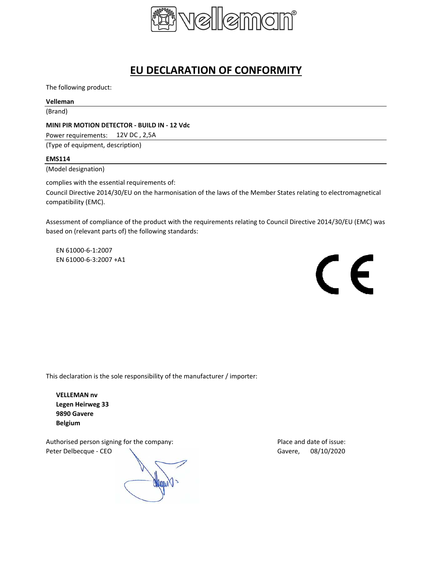

# **EU DECLARATION OF CONFORMITY**

The following product:

## **Velleman**

(Brand)

## **MINI PIR MOTION DETECTOR - BUILD IN - 12 Vdc**

Power requirements: 12V DC, 2,5A

(Type of equipment, description)

### **EMS114**

(Model designation)

complies with the essential requirements of: Council Directive 2014/30/EU on the harmonisation of the laws of the Member States relating to electromagnetical compatibility (EMC).

Assessment of compliance of the product with the requirements relating to Council Directive 2014/30/EU (EMC) was based on (relevant parts of) the following standards:

EN 61000-6-1:2007 EN 61000-6-3:2007 +A1



This declaration is the sole responsibility of the manufacturer / importer:

**VELLEMAN nv Legen Heirweg 33 9890 Gavere Belgium**

Authorised person signing for the company: example a part of issue: Place and date of issue: Peter Delbecque - CEO  $\searrow$  Gavere, 08/10/2020

**CALLONAL**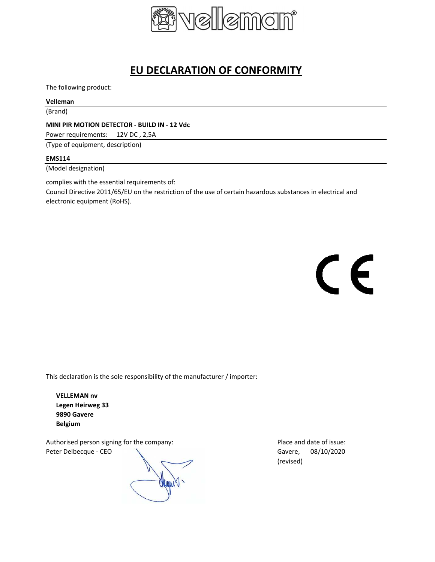

# **EU DECLARATION OF CONFORMITY**

The following product:

## **Velleman**

(Brand)

## **MINI PIR MOTION DETECTOR - BUILD IN - 12 Vdc**

Power requirements: 12V DC , 2,5A

(Type of equipment, description)

### **EMS114**

(Model designation)

complies with the essential requirements of:

Council Directive 2011/65/EU on the restriction of the use of certain hazardous substances in electrical and electronic equipment (RoHS).

 $\epsilon$ 

This declaration is the sole responsibility of the manufacturer / importer:

**VELLEMAN nv Legen Heirweg 33 9890 Gavere Belgium**

Authorised person signing for the company: Place and date of issue: Peter Delbecque - CEO  $\searrow$  Gavere, 08/10/2020

Mana

(revised)